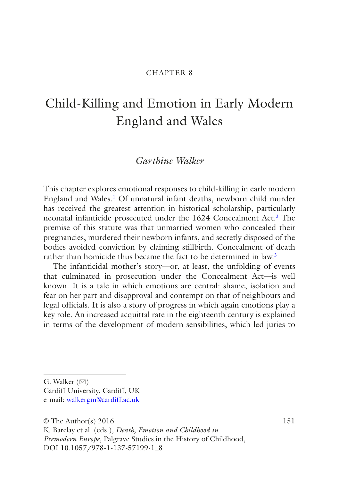# Child-Killing and Emotion in Early Modern England and Wales

# *Garthine Walker*

This chapter explores emotional responses to child-killing in early modern England and Wales.<sup>1</sup> Of unnatural infant deaths, newborn child murder has received the greatest attention in historical scholarship, particularly neonatal infanticide prosecuted under the 1624 Concealment Act.[2](#page-15-0) The premise of this statute was that unmarried women who concealed their pregnancies, murdered their newborn infants, and secretly disposed of the bodies avoided conviction by claiming stillbirth. Concealment of death rather than homicide thus became the fact to be determined in law.<sup>3</sup>

The infanticidal mother's story—or, at least, the unfolding of events that culminated in prosecution under the Concealment Act—is well known. It is a tale in which emotions are central: shame, isolation and fear on her part and disapproval and contempt on that of neighbours and legal officials. It is also a story of progress in which again emotions play a key role. An increased acquittal rate in the eighteenth century is explained in terms of the development of modern sensibilities, which led juries to

Cardiff University, Cardiff, UK

G. Walker  $(\boxtimes)$ 

e-mail: [walkergm@cardiff.ac.uk](mailto:walkergm@cardiff.ac.uk)

 $\degree$  The Author(s) 2016 151

K. Barclay et al. (eds.), *Death, Emotion and Childhood in Premodern Europe*, Palgrave Studies in the History of Childhood, DOI 10.1057/978-1-137-57199-1\_8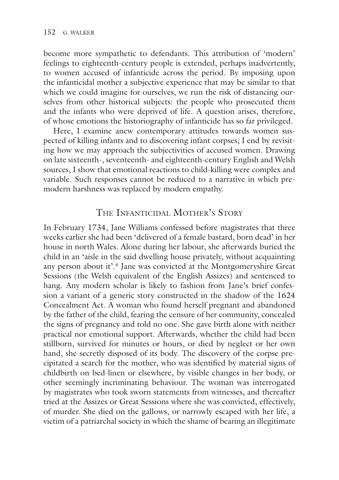become more sympathetic to defendants. This attribution of 'modern' feelings to eighteenth-century people is extended, perhaps inadvertently, to women accused of infanticide across the period. By imposing upon the infanticidal mother a subjective experience that may be similar to that which we could imagine for ourselves, we run the risk of distancing ourselves from other historical subjects: the people who prosecuted them and the infants who were deprived of life. A question arises, therefore, of whose emotions the historiography of infanticide has so far privileged.

Here, I examine anew contemporary attitudes towards women suspected of killing infants and to discovering infant corpses; I end by revisiting how we may approach the subjectivities of accused women. Drawing on late sixteenth-, seventeenth- and eighteenth-century English and Welsh sources, I show that emotional reactions to child-killing were complex and variable. Such responses cannot be reduced to a narrative in which premodern harshness was replaced by modern empathy.

# The Infanticidal Mother's Story

In February 1734, Jane Williams confessed before magistrates that three weeks earlier she had been 'delivered of a female bastard, born dead' in her house in north Wales. Alone during her labour, she afterwards buried the child in an 'aisle in the said dwelling house privately, without acquainting any person about it'.[4](#page-15-0) Jane was convicted at the Montgomeryshire Great Sessions (the Welsh equivalent of the English Assizes) and sentenced to hang. Any modern scholar is likely to fashion from Jane's brief confession a variant of a generic story constructed in the shadow of the 1624 Concealment Act. A woman who found herself pregnant and abandoned by the father of the child, fearing the censure of her community, concealed the signs of pregnancy and told no one. She gave birth alone with neither practical nor emotional support. Afterwards, whether the child had been stillborn, survived for minutes or hours, or died by neglect or her own hand, she secretly disposed of its body. The discovery of the corpse precipitated a search for the mother, who was identified by material signs of childbirth on bed-linen or elsewhere, by visible changes in her body, or other seemingly incriminating behaviour. The woman was interrogated by magistrates who took sworn statements from witnesses, and thereafter tried at the Assizes or Great Sessions where she was convicted, effectively, of murder. She died on the gallows, or narrowly escaped with her life, a victim of a patriarchal society in which the shame of bearing an illegitimate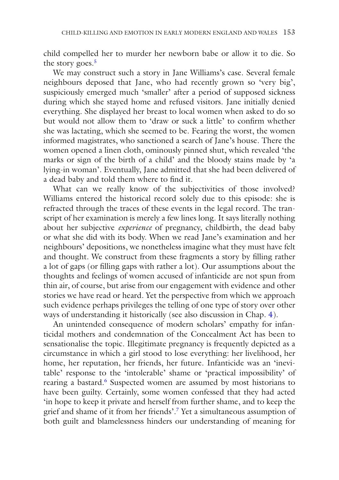child compelled her to murder her newborn babe or allow it to die. So the story goes.<sup>5</sup>

We may construct such a story in Jane Williams's case. Several female neighbours deposed that Jane, who had recently grown so 'very big', suspiciously emerged much 'smaller' after a period of supposed sickness during which she stayed home and refused visitors. Jane initially denied everything. She displayed her breast to local women when asked to do so but would not allow them to 'draw or suck a little' to confirm whether she was lactating, which she seemed to be. Fearing the worst, the women informed magistrates, who sanctioned a search of Jane's house. There the women opened a linen cloth, ominously pinned shut, which revealed 'the marks or sign of the birth of a child' and the bloody stains made by 'a lying-in woman'. Eventually, Jane admitted that she had been delivered of a dead baby and told them where to find it.

What can we really know of the subjectivities of those involved? Williams entered the historical record solely due to this episode: she is refracted through the traces of these events in the legal record. The transcript of her examination is merely a few lines long. It says literally nothing about her subjective *experience* of pregnancy, childbirth, the dead baby or what she did with its body. When we read Jane's examination and her neighbours' depositions, we nonetheless imagine what they must have felt and thought. We construct from these fragments a story by filling rather a lot of gaps (or filling gaps with rather a lot). Our assumptions about the thoughts and feelings of women accused of infanticide are not spun from thin air, of course, but arise from our engagement with evidence and other stories we have read or heard. Yet the perspective from which we approach such evidence perhaps privileges the telling of one type of story over other ways of understanding it historically (see also discussion in Chap. [4](http://dx.doi.org/10.1057/978-1-137-57199-1_4)).

An unintended consequence of modern scholars' empathy for infanticidal mothers and condemnation of the Concealment Act has been to sensationalise the topic. Illegitimate pregnancy is frequently depicted as a circumstance in which a girl stood to lose everything: her livelihood, her home, her reputation, her friends, her future. Infanticide was an 'inevitable' response to the 'intolerable' shame or 'practical impossibility' of rearing a bastard.<sup>6</sup> Suspected women are assumed by most historians to have been guilty. Certainly, some women confessed that they had acted 'in hope to keep it private and herself from further shame, and to keep the grief and shame of it from her friends'[.7](#page-15-0) Yet a simultaneous assumption of both guilt and blamelessness hinders our understanding of meaning for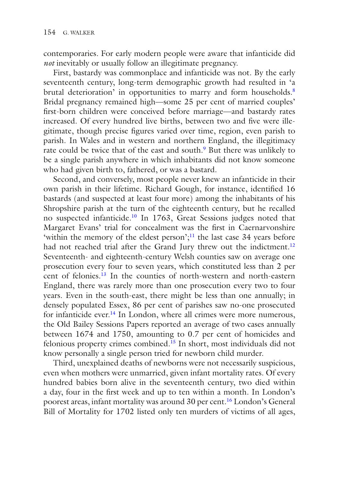contemporaries. For early modern people were aware that infanticide did *not* inevitably or usually follow an illegitimate pregnancy.

First, bastardy was commonplace and infanticide was not. By the early seventeenth century, long-term demographic growth had resulted in 'a brutal deterioration' in opportunities to marry and form households.<sup>8</sup> Bridal pregnancy remained high—some 25 per cent of married couples' first-born children were conceived before marriage—and bastardy rates increased. Of every hundred live births, between two and five were illegitimate, though precise figures varied over time, region, even parish to parish. In Wales and in western and northern England, the illegitimacy rate could be twice that of the east and south.<sup>[9](#page-15-0)</sup> But there was unlikely to be a single parish anywhere in which inhabitants did not know someone who had given birth to, fathered, or was a bastard.

Second, and conversely, most people never knew an infanticide in their own parish in their lifetime. Richard Gough, for instance, identified 16 bastards (and suspected at least four more) among the inhabitants of his Shropshire parish at the turn of the eighteenth century, but he recalled no suspected infanticide.[10](#page-15-0) In 1763, Great Sessions judges noted that Margaret Evans' trial for concealment was the first in Caernarvonshire 'within the memory of the eldest person'; $\frac{11}{11}$  $\frac{11}{11}$  $\frac{11}{11}$  the last case 34 years before had not reached trial after the Grand Jury threw out the indictment.<sup>[12](#page-15-0)</sup> Seventeenth- and eighteenth-century Welsh counties saw on average one prosecution every four to seven years, which constituted less than 2 per cent of felonies.<sup>13</sup> In the counties of north-western and north-eastern England, there was rarely more than one prosecution every two to four years. Even in the south-east, there might be less than one annually; in densely populated Essex, 86 per cent of parishes saw no-one prosecuted for infanticide ever.<sup>14</sup> In London, where all crimes were more numerous, the Old Bailey Sessions Papers reported an average of two cases annually between 1674 and 1750, amounting to 0.7 per cent of homicides and felonious property crimes combined.[15](#page-15-0) In short, most individuals did not know personally a single person tried for newborn child murder.

Third, unexplained deaths of newborns were not necessarily suspicious, even when mothers were unmarried, given infant mortality rates. Of every hundred babies born alive in the seventeenth century, two died within a day, four in the first week and up to ten within a month. In London's poorest areas, infant mortality was around 30 per cent.[16](#page-15-0) London's General Bill of Mortality for 1702 listed only ten murders of victims of all ages,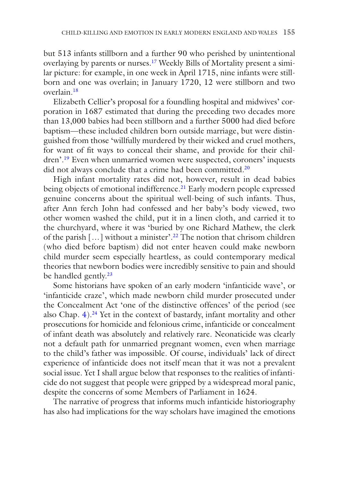but 513 infants stillborn and a further 90 who perished by unintentional overlaying by parents or nurses[.17](#page-15-0) Weekly Bills of Mortality present a similar picture: for example, in one week in April 1715, nine infants were stillborn and one was overlain; in January 1720, 12 were stillborn and two overlain[.18](#page-15-0)

Elizabeth Cellier's proposal for a foundling hospital and midwives' corporation in 1687 estimated that during the preceding two decades more than 13,000 babies had been stillborn and a further 5000 had died before baptism—these included children born outside marriage, but were distinguished from those 'willfully murdered by their wicked and cruel mothers, for want of fit ways to conceal their shame, and provide for their children'[.19](#page-15-0) Even when unmarried women were suspected, coroners' inquests did not always conclude that a crime had been committed.<sup>[20](#page-15-0)</sup>

High infant mortality rates did not, however, result in dead babies being objects of emotional indifference.<sup>[21](#page-15-0)</sup> Early modern people expressed genuine concerns about the spiritual well-being of such infants. Thus, after Ann ferch John had confessed and her baby's body viewed, two other women washed the child, put it in a linen cloth, and carried it to the churchyard, where it was 'buried by one Richard Mathew, the clerk of the parish […] without a minister'[.22](#page-15-0) The notion that chrisom children (who died before baptism) did not enter heaven could make newborn child murder seem especially heartless, as could contemporary medical theories that newborn bodies were incredibly sensitive to pain and should be handled gently.[23](#page-15-0)

Some historians have spoken of an early modern 'infanticide wave', or 'infanticide craze', which made newborn child murder prosecuted under the Concealment Act 'one of the distinctive offences' of the period (see also Chap.  $4$ ).<sup>24</sup> Yet in the context of bastardy, infant mortality and other prosecutions for homicide and felonious crime, infanticide or concealment of infant death was absolutely and relatively rare. Neonaticide was clearly not a default path for unmarried pregnant women, even when marriage to the child's father was impossible. Of course, individuals' lack of direct experience of infanticide does not itself mean that it was not a prevalent social issue. Yet I shall argue below that responses to the realities of infanticide do not suggest that people were gripped by a widespread moral panic, despite the concerns of some Members of Parliament in 1624.

The narrative of progress that informs much infanticide historiography has also had implications for the way scholars have imagined the emotions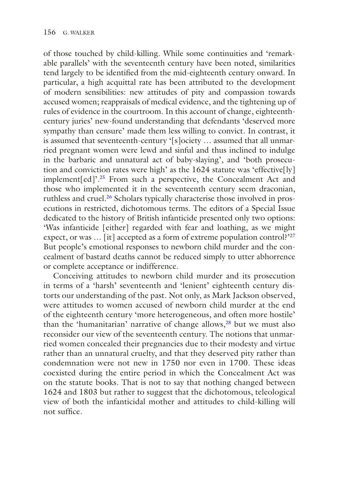of those touched by child-killing. While some continuities and 'remarkable parallels' with the seventeenth century have been noted, similarities tend largely to be identified from the mid-eighteenth century onward. In particular, a high acquittal rate has been attributed to the development of modern sensibilities: new attitudes of pity and compassion towards accused women; reappraisals of medical evidence, and the tightening up of rules of evidence in the courtroom. In this account of change, eighteenthcentury juries' new-found understanding that defendants 'deserved more sympathy than censure' made them less willing to convict. In contrast, it is assumed that seventeenth-century '[s]ociety … assumed that all unmarried pregnant women were lewd and sinful and thus inclined to indulge in the barbaric and unnatural act of baby-slaying', and 'both prosecution and conviction rates were high' as the 1624 statute was 'effective[ly] implement[ed]'[.25](#page-15-0) From such a perspective, the Concealment Act and those who implemented it in the seventeenth century seem draconian, ruthless and cruel.<sup>26</sup> Scholars typically characterise those involved in prosecutions in restricted, dichotomous terms. The editors of a Special Issue dedicated to the history of British infanticide presented only two options: 'Was infanticide [either] regarded with fear and loathing, as we might expect, or was ... [it] accepted as a form of extreme population control?<sup>[27](#page-15-0)</sup> But people's emotional responses to newborn child murder and the concealment of bastard deaths cannot be reduced simply to utter abhorrence or complete acceptance or indifference.

Conceiving attitudes to newborn child murder and its prosecution in terms of a 'harsh' seventeenth and 'lenient' eighteenth century distorts our understanding of the past. Not only, as Mark Jackson observed, were attitudes to women accused of newborn child murder at the end of the eighteenth century 'more heterogeneous, and often more hostile' than the 'humanitarian' narrative of change allows,<sup>28</sup> but we must also reconsider our view of the seventeenth century. The notions that unmarried women concealed their pregnancies due to their modesty and virtue rather than an unnatural cruelty, and that they deserved pity rather than condemnation were not new in 1750 nor even in 1700. These ideas coexisted during the entire period in which the Concealment Act was on the statute books. That is not to say that nothing changed between 1624 and 1803 but rather to suggest that the dichotomous, teleological view of both the infanticidal mother and attitudes to child-killing will not suffice.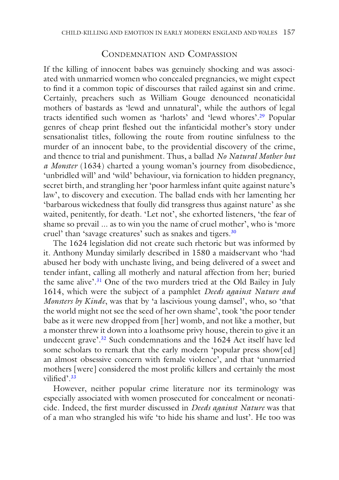#### Condemnation and Compassion

If the killing of innocent babes was genuinely shocking and was associated with unmarried women who concealed pregnancies, we might expect to find it a common topic of discourses that railed against sin and crime. Certainly, preachers such as William Gouge denounced neonaticidal mothers of bastards as 'lewd and unnatural', while the authors of legal tracts identified such women as 'harlots' and 'lewd whores'[.29](#page-15-0) Popular genres of cheap print fleshed out the infanticidal mother's story under sensationalist titles, following the route from routine sinfulness to the murder of an innocent babe, to the providential discovery of the crime, and thence to trial and punishment. Thus, a ballad *No Natural Mother but a Monster* (1634) charted a young woman's journey from disobedience, 'unbridled will' and 'wild' behaviour, via fornication to hidden pregnancy, secret birth, and strangling her 'poor harmless infant quite against nature's law', to discovery and execution. The ballad ends with her lamenting her 'barbarous wickedness that foully did transgress thus against nature' as she waited, penitently, for death. 'Let not', she exhorted listeners, 'the fear of shame so prevail ... as to win you the name of cruel mother', who is 'more cruel' than 'savage creatures' such as snakes and tigers.<sup>[30](#page-15-0)</sup>

The 1624 legislation did not create such rhetoric but was informed by it. Anthony Munday similarly described in 1580 a maidservant who 'had abused her body with unchaste living, and being delivered of a sweet and tender infant, calling all motherly and natural affection from her; buried the same alive'.[31](#page-15-0) One of the two murders tried at the Old Bailey in July 1614, which were the subject of a pamphlet *Deeds against Nature and Monsters by Kinde*, was that by 'a lascivious young damsel', who, so 'that the world might not see the seed of her own shame', took 'the poor tender babe as it were new dropped from [her] womb, and not like a mother, but a monster threw it down into a loathsome privy house, therein to give it an undecent grave'[.32](#page-15-0) Such condemnations and the 1624 Act itself have led some scholars to remark that the early modern 'popular press show[ed] an almost obsessive concern with female violence', and that 'unmarried mothers [were] considered the most prolific killers and certainly the most vilified'.<sup>[33](#page-15-0)</sup>

However, neither popular crime literature nor its terminology was especially associated with women prosecuted for concealment or neonaticide. Indeed, the first murder discussed in *Deeds against Nature* was that of a man who strangled his wife 'to hide his shame and lust'. He too was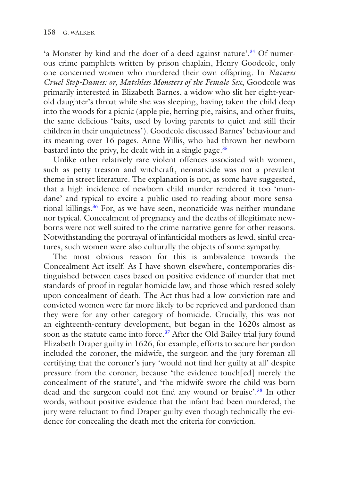'a Monster by kind and the doer of a deed against nature'[.34](#page-15-0) Of numerous crime pamphlets written by prison chaplain, Henry Goodcole, only one concerned women who murdered their own offspring. In *Natures Cruel Step-Dames: or, Matchless Monsters of the Female Sex*, Goodcole was primarily interested in Elizabeth Barnes, a widow who slit her eight-yearold daughter's throat while she was sleeping, having taken the child deep into the woods for a picnic (apple pie, herring pie, raisins, and other fruits, the same delicious 'baits, used by loving parents to quiet and still their children in their unquietness'). Goodcole discussed Barnes' behaviour and its meaning over 16 pages. Anne Willis, who had thrown her newborn bastard into the privy, he dealt with in a single page[.35](#page-15-0)

Unlike other relatively rare violent offences associated with women, such as petty treason and witchcraft, neonaticide was not a prevalent theme in street literature. The explanation is not, as some have suggested, that a high incidence of newborn child murder rendered it too 'mundane' and typical to excite a public used to reading about more sensational killings.<sup>36</sup> For, as we have seen, neonaticide was neither mundane nor typical. Concealment of pregnancy and the deaths of illegitimate newborns were not well suited to the crime narrative genre for other reasons. Notwithstanding the portrayal of infanticidal mothers as lewd, sinful creatures, such women were also culturally the objects of some sympathy.

The most obvious reason for this is ambivalence towards the Concealment Act itself. As I have shown elsewhere, contemporaries distinguished between cases based on positive evidence of murder that met standards of proof in regular homicide law, and those which rested solely upon concealment of death. The Act thus had a low conviction rate and convicted women were far more likely to be reprieved and pardoned than they were for any other category of homicide. Crucially, this was not an eighteenth-century development, but began in the 1620s almost as soon as the statute came into force.<sup>37</sup> After the Old Bailey trial jury found Elizabeth Draper guilty in 1626, for example, efforts to secure her pardon included the coroner, the midwife, the surgeon and the jury foreman all certifying that the coroner's jury 'would not find her guilty at all' despite pressure from the coroner, because 'the evidence touch[ed] merely the concealment of the statute', and 'the midwife swore the child was born dead and the surgeon could not find any wound or bruise'[.38](#page-15-0) In other words, without positive evidence that the infant had been murdered, the jury were reluctant to find Draper guilty even though technically the evidence for concealing the death met the criteria for conviction.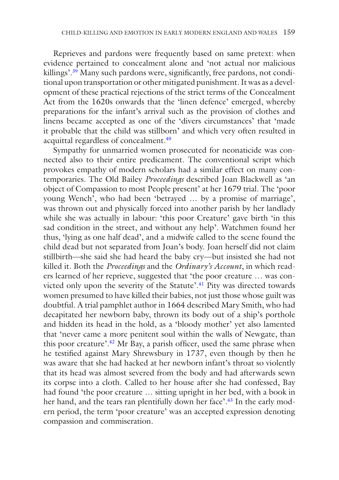Reprieves and pardons were frequently based on same pretext: when evidence pertained to concealment alone and 'not actual nor malicious killings'. $39$  Many such pardons were, significantly, free pardons, not conditional upon transportation or other mitigated punishment. It was as a development of these practical rejections of the strict terms of the Concealment Act from the 1620s onwards that the 'linen defence' emerged, whereby preparations for the infant's arrival such as the provision of clothes and linens became accepted as one of the 'divers circumstances' that 'made it probable that the child was stillborn' and which very often resulted in acquittal regardless of concealment[.40](#page-15-0)

Sympathy for unmarried women prosecuted for neonaticide was connected also to their entire predicament. The conventional script which provokes empathy of modern scholars had a similar effect on many contemporaries. The Old Bailey *Proceedings* described Joan Blackwell as 'an object of Compassion to most People present' at her 1679 trial. The 'poor young Wench', who had been 'betrayed … by a promise of marriage', was thrown out and physically forced into another parish by her landlady while she was actually in labour: 'this poor Creature' gave birth 'in this sad condition in the street, and without any help'. Watchmen found her thus, 'lying as one half dead', and a midwife called to the scene found the child dead but not separated from Joan's body. Joan herself did not claim stillbirth—she said she had heard the baby cry—but insisted she had not killed it. Both the *Proceedings* and the *Ordinary's Account*, in which readers learned of her reprieve, suggested that 'the poor creature … was convicted only upon the severity of the Statute'.[41](#page-15-0) Pity was directed towards women presumed to have killed their babies, not just those whose guilt was doubtful. A trial pamphlet author in 1664 described Mary Smith, who had decapitated her newborn baby, thrown its body out of a ship's porthole and hidden its head in the hold, as a 'bloody mother' yet also lamented that 'never came a more penitent soul within the walls of Newgate, than this poor creature'[.42](#page-15-0) Mr Bay, a parish officer, used the same phrase when he testified against Mary Shrewsbury in 1737, even though by then he was aware that she had hacked at her newborn infant's throat so violently that its head was almost severed from the body and had afterwards sewn its corpse into a cloth. Called to her house after she had confessed, Bay had found 'the poor creature … sitting upright in her bed, with a book in her hand, and the tears ran plentifully down her face'.<sup>[43](#page-15-0)</sup> In the early modern period, the term 'poor creature' was an accepted expression denoting compassion and commiseration.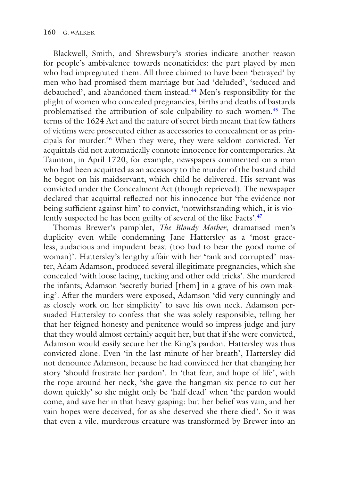Blackwell, Smith, and Shrewsbury's stories indicate another reason for people's ambivalence towards neonaticides: the part played by men who had impregnated them. All three claimed to have been 'betrayed' by men who had promised them marriage but had 'deluded', 'seduced and debauched', and abandoned them instead.<sup>[44](#page-15-0)</sup> Men's responsibility for the plight of women who concealed pregnancies, births and deaths of bastards problematised the attribution of sole culpability to such women.[45](#page-15-0) The terms of the 1624 Act and the nature of secret birth meant that few fathers of victims were prosecuted either as accessories to concealment or as prin-cipals for murder.<sup>[46](#page-15-0)</sup> When they were, they were seldom convicted. Yet acquittals did not automatically connote innocence for contemporaries. At Taunton, in April 1720, for example, newspapers commented on a man who had been acquitted as an accessory to the murder of the bastard child he begot on his maidservant, which child he delivered. His servant was convicted under the Concealment Act (though reprieved). The newspaper declared that acquittal reflected not his innocence but 'the evidence not being sufficient against him' to convict, 'notwithstanding which, it is violently suspected he has been guilty of several of the like Facts'.<sup>47</sup>

Thomas Brewer's pamphlet, *The Bloudy Mother*, dramatised men's duplicity even while condemning Jane Hattersley as a 'most graceless, audacious and impudent beast (too bad to bear the good name of woman)'. Hattersley's lengthy affair with her 'rank and corrupted' master, Adam Adamson, produced several illegitimate pregnancies, which she concealed 'with loose lacing, tucking and other odd tricks'. She murdered the infants; Adamson 'secretly buried [them] in a grave of his own making'. After the murders were exposed, Adamson 'did very cunningly and as closely work on her simplicity' to save his own neck. Adamson persuaded Hattersley to confess that she was solely responsible, telling her that her feigned honesty and penitence would so impress judge and jury that they would almost certainly acquit her, but that if she were convicted, Adamson would easily secure her the King's pardon. Hattersley was thus convicted alone. Even 'in the last minute of her breath', Hattersley did not denounce Adamson, because he had convinced her that changing her story 'should frustrate her pardon'. In 'that fear, and hope of life', with the rope around her neck, 'she gave the hangman six pence to cut her down quickly' so she might only be 'half dead' when 'the pardon would come, and save her in that heavy gasping: but her belief was vain, and her vain hopes were deceived, for as she deserved she there died'. So it was that even a vile, murderous creature was transformed by Brewer into an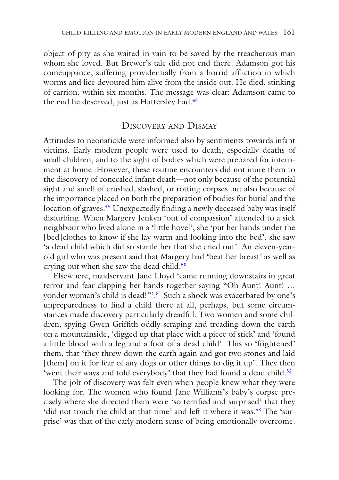object of pity as she waited in vain to be saved by the treacherous man whom she loved. But Brewer's tale did not end there. Adamson got his comeuppance, suffering providentially from a horrid affliction in which worms and lice devoured him alive from the inside out. He died, stinking of carrion, within six months. The message was clear: Adamson came to the end he deserved, just as Hattersley had.<sup>48</sup>

## Discovery and Dismay

Attitudes to neonaticide were informed also by sentiments towards infant victims. Early modern people were used to death, especially deaths of small children, and to the sight of bodies which were prepared for internment at home. However, these routine encounters did not inure them to the discovery of concealed infant death—not only because of the potential sight and smell of crushed, slashed, or rotting corpses but also because of the importance placed on both the preparation of bodies for burial and the location of graves.<sup>49</sup> Unexpectedly finding a newly deceased baby was itself disturbing. When Margery Jenkyn 'out of compassion' attended to a sick neighbour who lived alone in a 'little hovel', she 'put her hands under the [bed]clothes to know if she lay warm and looking into the bed', she saw 'a dead child which did so startle her that she cried out'. An eleven-yearold girl who was present said that Margery had 'beat her breast' as well as crying out when she saw the dead child.<sup>50</sup>

Elsewhere, maidservant Jane Lloyd 'came running downstairs in great terror and fear clapping her hands together saying "Oh Aunt! Aunt! … yonder woman's child is dead!"'.<sup>51</sup> Such a shock was exacerbated by one's unpreparedness to find a child there at all, perhaps, but some circumstances made discovery particularly dreadful. Two women and some children, spying Gwen Griffith oddly scraping and treading down the earth on a mountainside, 'digged up that place with a piece of stick' and 'found a little blood with a leg and a foot of a dead child'. This so 'frightened' them, that 'they threw down the earth again and got two stones and laid [them] on it for fear of any dogs or other things to dig it up'. They then 'went their ways and told everybody' that they had found a dead child.<sup>[52](#page-15-0)</sup>

The jolt of discovery was felt even when people knew what they were looking for. The women who found Jane Williams's baby's corpse precisely where she directed them were 'so terrified and surprised' that they 'did not touch the child at that time' and left it where it was.<sup>[53](#page-15-0)</sup> The 'surprise' was that of the early modern sense of being emotionally overcome.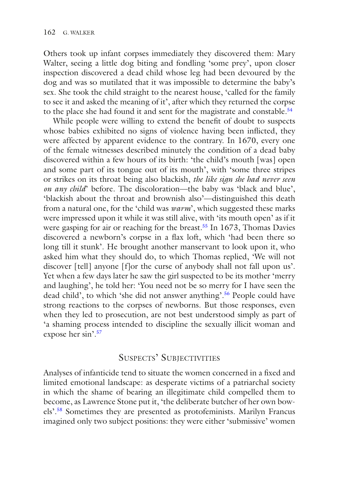Others took up infant corpses immediately they discovered them: Mary Walter, seeing a little dog biting and fondling 'some prey', upon closer inspection discovered a dead child whose leg had been devoured by the dog and was so mutilated that it was impossible to determine the baby's sex. She took the child straight to the nearest house, 'called for the family to see it and asked the meaning of it', after which they returned the corpse to the place she had found it and sent for the magistrate and constable.<sup>[54](#page-15-0)</sup>

While people were willing to extend the benefit of doubt to suspects whose babies exhibited no signs of violence having been inflicted, they were affected by apparent evidence to the contrary. In 1670, every one of the female witnesses described minutely the condition of a dead baby discovered within a few hours of its birth: 'the child's mouth [was] open and some part of its tongue out of its mouth', with 'some three stripes or strikes on its throat being also blackish, *the like sign she had never seen on any child*' before. The discoloration—the baby was 'black and blue', 'blackish about the throat and brownish also'—distinguished this death from a natural one, for the 'child was *warm*', which suggested these marks were impressed upon it while it was still alive, with 'its mouth open' as if it were gasping for air or reaching for the breast.<sup>[55](#page-15-0)</sup> In 1673, Thomas Davies discovered a newborn's corpse in a flax loft, which 'had been there so long till it stunk'. He brought another manservant to look upon it, who asked him what they should do, to which Thomas replied, 'We will not discover [tell] anyone [f]or the curse of anybody shall not fall upon us'. Yet when a few days later he saw the girl suspected to be its mother 'merry and laughing', he told her: 'You need not be so merry for I have seen the dead child', to which 'she did not answer anything'.[56](#page-15-0) People could have strong reactions to the corpses of newborns. But those responses, even when they led to prosecution, are not best understood simply as part of 'a shaming process intended to discipline the sexually illicit woman and expose her sin'[.57](#page-15-0)

### SUSPECTS' SUBJECTIVITIES

Analyses of infanticide tend to situate the women concerned in a fixed and limited emotional landscape: as desperate victims of a patriarchal society in which the shame of bearing an illegitimate child compelled them to become, as Lawrence Stone put it, 'the deliberate butcher of her own bowels'[.58](#page-15-0) Sometimes they are presented as protofeminists. Marilyn Francus imagined only two subject positions: they were either 'submissive' women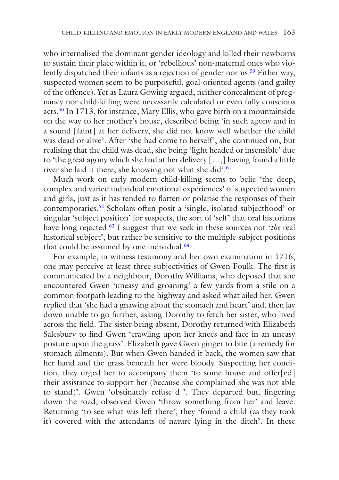who internalised the dominant gender ideology and killed their newborns to sustain their place within it, or 'rebellious' non-maternal ones who vio-lently dispatched their infants as a rejection of gender norms.<sup>[59](#page-15-0)</sup> Either way, suspected women seem to be purposeful, goal-oriented agents (and guilty of the offence). Yet as Laura Gowing argued, neither concealment of pregnancy nor child-killing were necessarily calculated or even fully conscious acts[.60](#page-15-0) In 1713, for instance, Mary Ellis, who gave birth on a mountainside on the way to her mother's house, described being 'in such agony and in a sound [faint] at her delivery, she did not know well whether the child was dead or alive'. After 'she had come to herself', she continued on, but realising that the child was dead, she being 'light headed or insensible' due to 'the great agony which she had at her delivery […,] having found a little river she laid it there, she knowing not what she did'.<sup>[61](#page-15-0)</sup>

Much work on early modern child-killing seems to belie 'the deep, complex and varied individual emotional experiences' of suspected women and girls, just as it has tended to flatten or polarise the responses of their contemporaries[.62](#page-15-0) Scholars often posit a 'single, isolated subjecthood' or singular 'subject position' for suspects, the sort of 'self' that oral historians have long rejected[.63](#page-15-0) I suggest that we seek in these sources not '*the* real historical subject', but rather be sensitive to the multiple subject positions that could be assumed by one individual.<sup>[64](#page-15-0)</sup>

For example, in witness testimony and her own examination in 1716, one may perceive at least three subjectivities of Gwen Foulk. The first is communicated by a neighbour, Dorothy Williams, who deposed that she encountered Gwen 'uneasy and groaning' a few yards from a stile on a common footpath leading to the highway and asked what ailed her. Gwen replied that 'she had a gnawing about the stomach and heart' and, then lay down unable to go further, asking Dorothy to fetch her sister, who lived across the field. The sister being absent, Dorothy returned with Elizabeth Salesbury to find Gwen 'crawling upon her knees and face in an uneasy posture upon the grass'. Elizabeth gave Gwen ginger to bite (a remedy for stomach ailments). But when Gwen handed it back, the women saw that her hand and the grass beneath her were bloody. Suspecting her condition, they urged her to accompany them 'to some house and offer[ed] their assistance to support her (because she complained she was not able to stand)'. Gwen 'obstinately refuse[d]'. They departed but, lingering down the road, observed Gwen 'throw something from her' and leave. Returning 'to see what was left there', they 'found a child (as they took it) covered with the attendants of nature lying in the ditch'. In these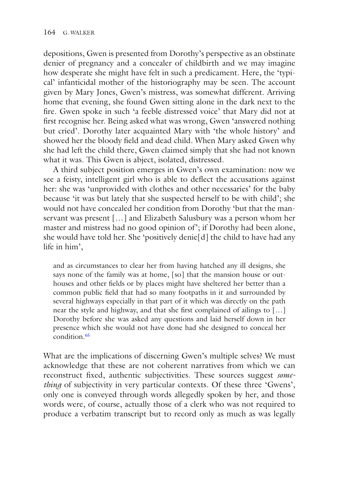depositions, Gwen is presented from Dorothy's perspective as an obstinate denier of pregnancy and a concealer of childbirth and we may imagine how desperate she might have felt in such a predicament. Here, the 'typical' infanticidal mother of the historiography may be seen. The account given by Mary Jones, Gwen's mistress, was somewhat different. Arriving home that evening, she found Gwen sitting alone in the dark next to the fire. Gwen spoke in such 'a feeble distressed voice' that Mary did not at first recognise her. Being asked what was wrong, Gwen 'answered nothing but cried'. Dorothy later acquainted Mary with 'the whole history' and showed her the bloody field and dead child. When Mary asked Gwen why she had left the child there, Gwen claimed simply that she had not known what it was. This Gwen is abject, isolated, distressed.

A third subject position emerges in Gwen's own examination: now we see a feisty, intelligent girl who is able to deflect the accusations against her: she was 'unprovided with clothes and other necessaries' for the baby because 'it was but lately that she suspected herself to be with child'; she would not have concealed her condition from Dorothy 'but that the manservant was present […] and Elizabeth Salusbury was a person whom her master and mistress had no good opinion of'; if Dorothy had been alone, she would have told her. She 'positively denie[d] the child to have had any life in him',

and as circumstances to clear her from having hatched any ill designs, she says none of the family was at home, [so] that the mansion house or outhouses and other fields or by places might have sheltered her better than a common public field that had so many footpaths in it and surrounded by several highways especially in that part of it which was directly on the path near the style and highway, and that she first complained of ailings to […] Dorothy before she was asked any questions and laid herself down in her presence which she would not have done had she designed to conceal her condition<sup>65</sup>

What are the implications of discerning Gwen's multiple selves? We must acknowledge that these are not coherent narratives from which we can reconstruct fixed, authentic subjectivities. These sources suggest *something* of subjectivity in very particular contexts. Of these three 'Gwens', only one is conveyed through words allegedly spoken by her, and those words were, of course, actually those of a clerk who was not required to produce a verbatim transcript but to record only as much as was legally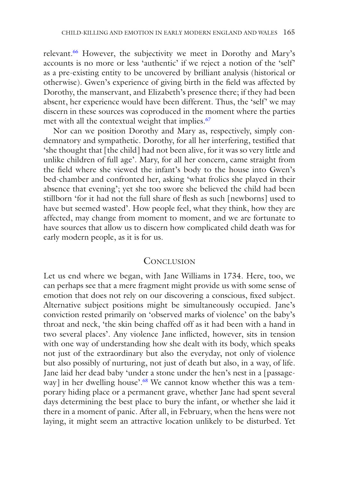relevant.<sup>66</sup> However, the subjectivity we meet in Dorothy and Mary's accounts is no more or less 'authentic' if we reject a notion of the 'self' as a pre-existing entity to be uncovered by brilliant analysis (historical or otherwise). Gwen's experience of giving birth in the field was affected by Dorothy, the manservant, and Elizabeth's presence there; if they had been absent, her experience would have been different. Thus, the 'self' we may discern in these sources was coproduced in the moment where the parties met with all the contextual weight that implies.<sup>67</sup>

Nor can we position Dorothy and Mary as, respectively, simply condemnatory and sympathetic. Dorothy, for all her interfering, testified that 'she thought that [the child] had not been alive, for it was so very little and unlike children of full age'. Mary, for all her concern, came straight from the field where she viewed the infant's body to the house into Gwen's bed-chamber and confronted her, asking 'what frolics she played in their absence that evening'; yet she too swore she believed the child had been stillborn 'for it had not the full share of flesh as such [newborns] used to have but seemed wasted'. How people feel, what they think, how they are affected, may change from moment to moment, and we are fortunate to have sources that allow us to discern how complicated child death was for early modern people, as it is for us.

#### **CONCLUSION**

Let us end where we began, with Jane Williams in 1734. Here, too, we can perhaps see that a mere fragment might provide us with some sense of emotion that does not rely on our discovering a conscious, fixed subject. Alternative subject positions might be simultaneously occupied. Jane's conviction rested primarily on 'observed marks of violence' on the baby's throat and neck, 'the skin being chaffed off as it had been with a hand in two several places'. Any violence Jane inflicted, however, sits in tension with one way of understanding how she dealt with its body, which speaks not just of the extraordinary but also the everyday, not only of violence but also possibly of nurturing, not just of death but also, in a way, of life. Jane laid her dead baby 'under a stone under the hen's nest in a [passage-way] in her dwelling house'.<sup>[68](#page-15-0)</sup> We cannot know whether this was a temporary hiding place or a permanent grave, whether Jane had spent several days determining the best place to bury the infant, or whether she laid it there in a moment of panic. After all, in February, when the hens were not laying, it might seem an attractive location unlikely to be disturbed. Yet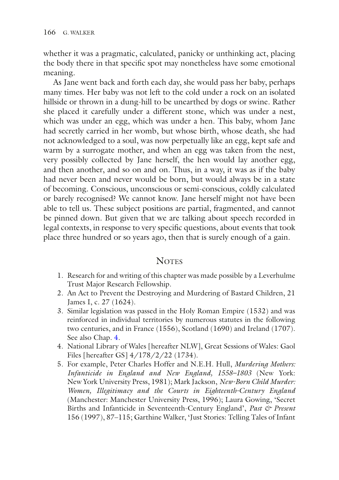whether it was a pragmatic, calculated, panicky or unthinking act, placing the body there in that specific spot may nonetheless have some emotional meaning.

As Jane went back and forth each day, she would pass her baby, perhaps many times. Her baby was not left to the cold under a rock on an isolated hillside or thrown in a dung-hill to be unearthed by dogs or swine. Rather she placed it carefully under a different stone, which was under a nest, which was under an egg, which was under a hen. This baby, whom Jane had secretly carried in her womb, but whose birth, whose death, she had not acknowledged to a soul, was now perpetually like an egg, kept safe and warm by a surrogate mother, and when an egg was taken from the nest, very possibly collected by Jane herself, the hen would lay another egg, and then another, and so on and on. Thus, in a way, it was as if the baby had never been and never would be born, but would always be in a state of becoming. Conscious, unconscious or semi-conscious, coldly calculated or barely recognised? We cannot know. Jane herself might not have been able to tell us. These subject positions are partial, fragmented, and cannot be pinned down. But given that we are talking about speech recorded in legal contexts, in response to very specific questions, about events that took place three hundred or so years ago, then that is surely enough of a gain.

## <span id="page-15-0"></span>**NOTES**

- 1. Research for and writing of this chapter was made possible by a Leverhulme Trust Major Research Fellowship.
- 2. An Act to Prevent the Destroying and Murdering of Bastard Children, 21 James I, c. 27 (1624).
- 3. Similar legislation was passed in the Holy Roman Empire (1532) and was reinforced in individual territories by numerous statutes in the following two centuries, and in France (1556), Scotland (1690) and Ireland (1707). See also Chap. [4](http://dx.doi.org/10.1057/978-1-137-57199-1_4).
- 4. National Library of Wales [hereafter NLW], Great Sessions of Wales: Gaol Files [hereafter GS] 4/178/2/22 (1734).
- 5. For example, Peter Charles Hoffer and N.E.H. Hull, *Murdering Mothers: Infanticide in England and New England, 1558–1803* (New York: New York University Press, 1981); Mark Jackson, *New-Born Child Murder: Women, Illegitimacy and the Courts in Eighteenth-Century England* (Manchester: Manchester University Press, 1996); Laura Gowing, 'Secret Births and Infanticide in Seventeenth-Century England', *Past & Present* 156 (1997), 87–115; Garthine Walker, 'Just Stories: Telling Tales of Infant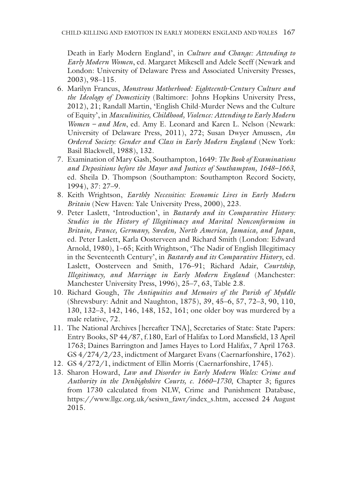Death in Early Modern England', in *Culture and Change: Attending to Early Modern Women*, ed. Margaret Mikesell and Adele Seeff (Newark and London: University of Delaware Press and Associated University Presses, 2003), 98–115.

- 6. Marilyn Francus, *Monstrous Motherhood: Eighteenth-Century Culture and the Ideology of Domesticity* (Baltimore: Johns Hopkins University Press, 2012), 21; Randall Martin, 'English Child-Murder News and the Culture of Equity', in *Masculinities, Childhood, Violence: Attending to Early Modern Women – and Men*, ed. Amy E. Leonard and Karen L. Nelson (Newark: University of Delaware Press, 2011), 272; Susan Dwyer Amussen, *An Ordered Society: Gender and Class in Early Modern England* (New York: Basil Blackwell, 1988), 132.
- 7. Examination of Mary Gash, Southampton, 1649: *The Book of Examinations and Depositions before the Mayor and Justices of Southampton, 1648–1663*, ed. Sheila D. Thompson (Southampton: Southampton Record Society, 1994), 37: 27–9.
- 8. Keith Wrightson, *Earthly Necessities: Economic Lives in Early Modern Britain* (New Haven: Yale University Press, 2000), 223.
- 9. Peter Laslett, 'Introduction', in *Bastardy and its Comparative History: Studies in the History of Illegitimacy and Marital Nonconformism in Britain, France, Germany, Sweden, North America, Jamaica, and Japan*, ed. Peter Laslett, Karla Oosterveen and Richard Smith (London: Edward Arnold, 1980), 1–65; Keith Wrightson, 'The Nadir of English Illegitimacy in the Seventeenth Century', in *Bastardy and its Comparative History*, ed. Laslett, Oosterveen and Smith, 176–91; Richard Adair, *Courtship, Illegitimacy, and Marriage in Early Modern England* (Manchester: Manchester University Press, 1996), 25–7, 63, Table 2.8.
- 10. Richard Gough, *The Antiquities and Memoirs of the Parish of Myddle* (Shrewsbury: Adnit and Naughton, 1875), 39, 45–6, 57, 72–3, 90, 110, 130, 132–3, 142, 146, 148, 152, 161; one older boy was murdered by a male relative, 72.
- 11. The National Archives [hereafter TNA], Secretaries of State: State Papers: Entry Books, SP 44/87, f.180, Earl of Halifax to Lord Mansfield, 13 April 1763; Daines Barrington and James Hayes to Lord Halifax, 7 April 1763. GS 4/274/2/23, indictment of Margaret Evans (Caernarfonshire, 1762).
- 12. GS 4/272/1, indictment of Ellin Morris (Caernarfonshire, 1745).
- 13. Sharon Howard, *Law and Disorder in Early Modern Wales: Crime and Authority in the Denbighshire Courts, c. 1660–1730*, Chapter 3; figures from 1730 calculated from NLW, Crime and Punishment Database, https://www.llgc.org.uk/sesiwn\_fawr/index\_s.htm, accessed 24 August 2015.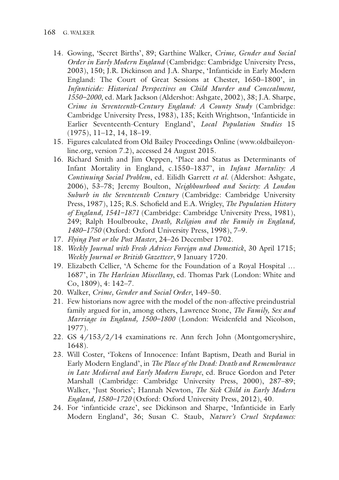- 14. Gowing, 'Secret Births', 89; Garthine Walker, *Crime, Gender and Social Order in Early Modern England* (Cambridge: Cambridge University Press, 2003), 150; J.R. Dickinson and J.A. Sharpe, 'Infanticide in Early Modern England: The Court of Great Sessions at Chester, 1650–1800', in *Infanticide: Historical Perspectives on Child Murder and Concealment, 1550–2000*, ed. Mark Jackson (Aldershot: Ashgate, 2002), 38; J.A. Sharpe, *Crime in Seventeenth-Century England: A County Study* (Cambridge: Cambridge University Press, 1983), 135; Keith Wrightson, 'Infanticide in Earlier Seventeenth-Century England', *Local Population Studies* 15 (1975), 11–12, 14, 18–19.
- 15. Figures calculated from Old Bailey Proceedings Online (www.oldbaileyonline.org, version 7.2), accessed 24 August 2015.
- 16. Richard Smith and Jim Oeppen, 'Place and Status as Determinants of Infant Mortality in England, c.1550–1837', in *Infant Mortality: A Continuing Social Problem*, ed. Eilidh Garrett *et al*. (Aldershot: Ashgate, 2006), 53–78; Jeremy Boulton, *Neighbourhood and Society: A London Suburb in the Seventeenth Century* (Cambridge: Cambridge University Press, 1987), 125; R.S. Schofield and E.A. Wrigley, *The Population History of England, 1541–1871* (Cambridge: Cambridge University Press, 1981), 249; Ralph Houlbrouke, *Death, Religion and the Family in England, 1480–1750* (Oxford: Oxford University Press, 1998), 7–9.
- 17. *Flying Post or the Post Master*, 24–26 December 1702.
- 18. *Weekly Journal with Fresh Advices Foreign and Domestick*, 30 April 1715; *Weekly Journal or British Gazetteer*, 9 January 1720.
- 19. Elizabeth Cellier, 'A Scheme for the Foundation of a Royal Hospital … 1687', in *The Harleian Miscellany*, ed. Thomas Park (London: White and Co, 1809), 4: 142–7.
- 20. Walker, *Crime, Gender and Social Order*, 149–50.
- 21. Few historians now agree with the model of the non-affective preindustrial family argued for in, among others, Lawrence Stone, *The Family, Sex and Marriage in England, 1500–1800* (London: Weidenfeld and Nicolson, 1977).
- 22. GS 4/153/2/14 examinations re. Ann ferch John (Montgomeryshire, 1648).
- 23. Will Coster, 'Tokens of Innocence: Infant Baptism, Death and Burial in Early Modern England', in *The Place of the Dead: Death and Remembrance in Late Medieval and Early Modern Europe*, ed. Bruce Gordon and Peter Marshall (Cambridge: Cambridge University Press, 2000), 287–89; Walker, 'Just Stories'; Hannah Newton, *The Sick Child in Early Modern England, 1580–1720* (Oxford: Oxford University Press, 2012), 40.
- 24. For 'infanticide craze', see Dickinson and Sharpe, 'Infanticide in Early Modern England', 36; Susan C. Staub, *Nature's Cruel Stepdames:*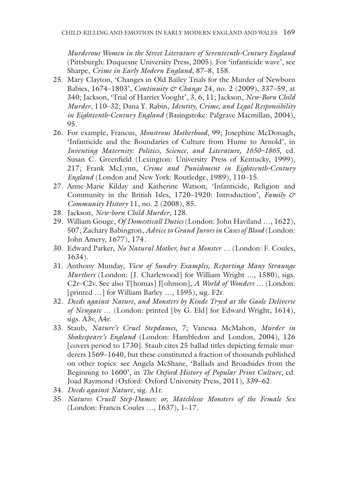*Murderous Women in the Street Literature of Seventeenth-Century England* (Pittsburgh: Duquesne University Press, 2005). For 'infanticide wave', see Sharpe, *Crime in Early Modern England*, 87–8, 158.

- 25. Mary Clayton, 'Changes in Old Bailey Trials for the Murder of Newborn Babies, 1674–1803', *Continuity & Change* 24, no. 2 (2009), 337–59, at 340; Jackson, 'Trial of Harriet Vooght', 3, 6, 11; Jackson, *New-Born Child Murder*, 110–32; Dana Y. Rabin, *Identity, Crime, and Legal Responsibility in Eighteenth-Century England* (Basingstoke: Palgrave Macmillan, 2004), 95.
- 26. For example, Francus, *Monstrous Motherhood*, 99; Josephine McDonagh, 'Infanticide and the Boundaries of Culture from Hume to Arnold', in *Inventing Maternity: Politics, Science, and Literature, 1650–1865*, ed. Susan C. Greenfield (Lexington: University Press of Kentucky, 1999), 217; Frank McLynn, *Crime and Punishment in Eighteenth-Century England* (London and New York: Routledge, 1989), 110–15.
- 27. Anne-Marie Kilday and Katherine Watson, 'Infanticide, Religion and Community in the British Isles, 1720–1920: Introduction', *Family & Community History* 11, no. 2 (2008), 85.
- 28. Jackson, *New-born Child Murder*, 128.
- 29. William Gouge, *Of Domesticall Duties* (London: John Haviland …, 1622), 507; Zachary Babington, *Advice to Grand Jurors in Cases of Blood* (London: John Amery, 1677), 174.
- 30. Edward Parker, *No Natural Mother, but a Monster …* (London: F. Coules, 1634).
- 31. Anthony Munday, *View of Sundry Examples, Reporting Many Straunge Murthers* (London: [J. Charlewood] for William Wright ..., 1580), sigs. C2r–C2v. See also T[homas] J[ohnson], *A World of Wonders …* (London: [printed ...] for William Barley ..., 1595), sig. F2r.
- 32. *Deeds against Nature, and Monsters by Kinde Tryed at the Gaole Deliverie of Newgate* … (London: printed [by G. Eld] for Edward Wright, 1614), sigs. A3v, A4r.
- 33. Staub, *Nature's Cruel Stepdames*, 7; Vanessa McMahon, *Murder in Shakespeare's England* (London: Hambledon and London, 2004), 126 [covers period to 1730]. Staub cites 25 ballad titles depicting female murderers 1569–1640, but these constituted a fraction of thousands published on other topics: see Angela McShane, 'Ballads and Broadsides from the Beginning to 1600', in *The Oxford History of Popular Print Culture*, ed. Joad Raymond (Oxford: Oxford University Press, 2011), 339–62.
- 34. *Deeds against Nature*, sig. A1r.
- 35. *Natures Cruell Step-Dames: or, Matchlesse Monsters of the Female Sex* (London: Francis Coules …, 1637), 1–17.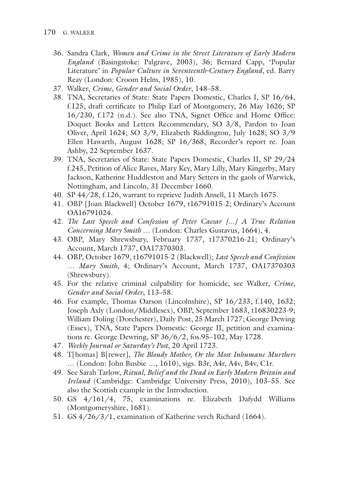- 36. Sandra Clark, *Women and Crime in the Street Literature of Early Modern England* (Basingstoke: Palgrave, 2003), 36; Bernard Capp, 'Popular Literature' in *Popular Culture in Seventeenth-Century England*, ed. Barry Reay (London: Croom Helm, 1985), 10.
- 37. Walker, *Crime, Gender and Social Order*, 148–58.
- 38. TNA, Secretaries of State: State Papers Domestic, Charles I, SP 16/64, f.125, draft certificate to Philip Earl of Montgomery, 26 May 1626; SP 16/230, f.172 (n.d.). See also TNA, Signet Office and Home Office: Doquet Books and Letters Recommendary, SO 3/8, Pardon to Joan Oliver, April 1624; SO 3/9, Elizabeth Riddington, July 1628; SO 3/9 Ellen Hawarth, August 1628; SP 16/368, Recorder's report re. Joan Ashby, 22 September 1637.
- 39. TNA, Secretaries of State: State Papers Domestic, Charles II, SP 29/24 f.245, Petition of Alice Raves, Mary Key, Mary Lilly, Mary Kingerby, Mary Jackson, Katherine Huddleston and Mary Setters in the gaols of Warwick, Nottingham, and Lincoln, 31 December 1660.
- 40. SP 44/28, f.126, warrant to reprieve Judith Ansell, 11 March 1675.
- 41. OBP [Joan Blackwell] October 1679, t16791015-2; Ordinary's Account OA16791024.
- 42. *The Last Speech and Confession of Peter Caesar [...] A True Relation Concerning Mary Smith* … (London: Charles Gustavus, 1664), 4.
- 43. OBP, Mary Shrewsbury, February 1737, t17370216-21; Ordinary's Account, March 1737, OA17370303.
- 44. OBP, October 1679, t16791015-2 (Blackwell); *Last Speech and Confession … Mary Smith*, 4; Ordinary's Account, March 1737, OA17370303 (Shrewsbury).
- 45. For the relative criminal culpability for homicide, see Walker, *Crime, Gender and Social Order*, 113–58.
- 46. For example, Thomas Oarson (Lincolnshire), SP 16/233, f.140, 1632; Joseph Axly (London/Middlesex), OBP, September 1683, t16830223-9; William Doling (Dorchester), Daily Post, 25 March 1727; George Dewing (Essex), TNA, State Papers Domestic: George II, petition and examinations re. George Dewring, SP 36/6/2, fos.95–102, May 1728.
- 47. *Weekly Journal or Saturday's Post*, 20 April 1723.
- 48. T[homas] B[rewer], *The Bloudy Mother, Or the Most Inhumane Murthers* … (London: John Busbie …, 1610), sigs. B3r, A4r, A4v, B4v, C1r.
- 49. See Sarah Tarlow, *Ritual, Belief and the Dead in Early Modern Britain and Ireland* (Cambridge: Cambridge University Press, 2010), 103–55. See also the Scottish example in the Introduction.
- 50. GS 4/161/4, 75, examinations re. Elizabeth Dafydd Williams (Montgomeryshire, 1681).
- 51. GS 4/26/3/1, examination of Katherine verch Richard (1664).